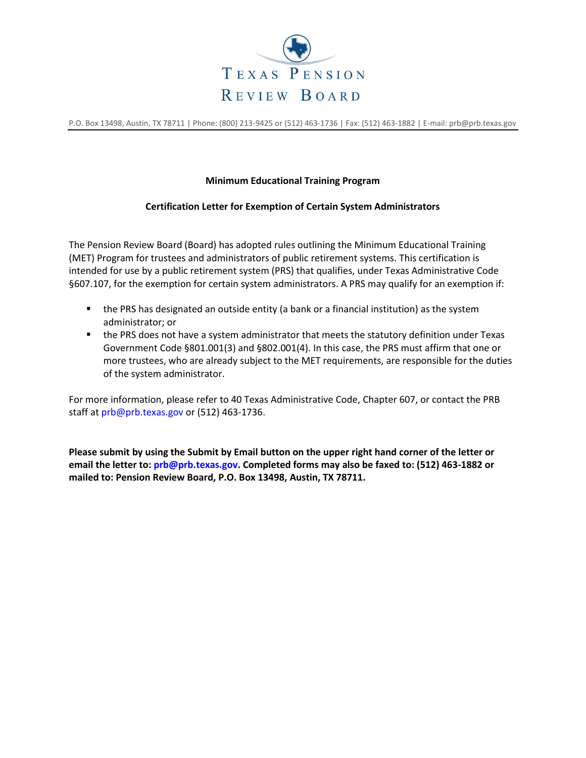

P.O. Box 13498, Austin, TX 78711 | Phone: (800) 213-9425 or (512) 463-1736 | Fax: (512) 463-1882 | E-mail: prb@prb.texas.gov

## **Minimum Educational Training Program**

## **Certification Letter for Exemption of Certain System Administrators**

The Pension Review Board (Board) has adopted rules outlining the Minimum Educational Training (MET) Program for trustees and administrators of public retirement systems. This certification is intended for use by a public retirement system (PRS) that qualifies, under Texas Administrative Code §607.107, for the exemption for certain system administrators. A PRS may qualify for an exemption if:

- the PRS has designated an outside entity (a bank or a financial institution) as the system administrator; or
- the PRS does not have a system administrator that meets the statutory definition under Texas Government Code §801.001(3) and §802.001(4). In this case, the PRS must affirm that one or more trustees, who are already subject to the MET requirements, are responsible for the duties of the system administrator.

For more information, please refer to 40 Texas Administrative Code, Chapter 607, or contact the PRB staff at prb@prb.texas.gov or (512) 463‐1736.

**Please submit by using the Submit by Email button on the upper right hand corner of the letter or email the letter to: prb@prb.texas.gov. Completed forms may also be faxed to: (512) 463-1882 or mailed to: Pension Review Board, P.O. Box 13498, Austin, TX 78711.**